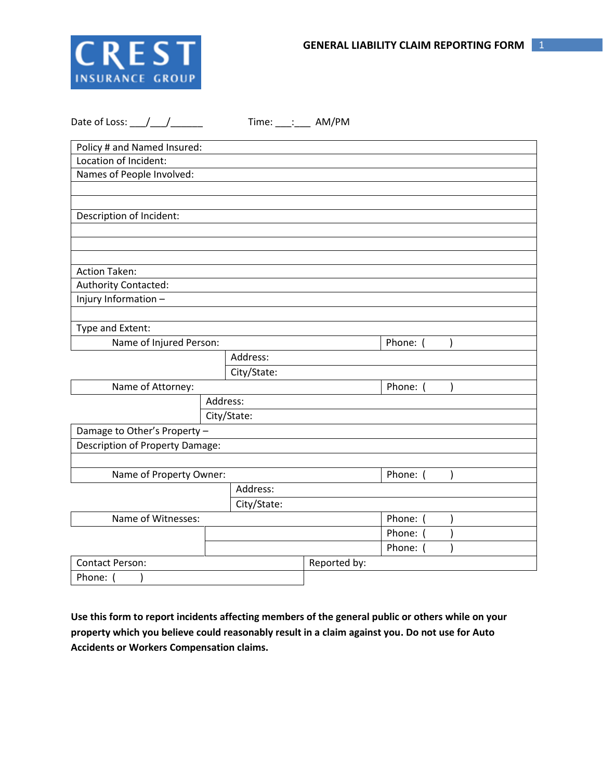

| Date of Loss: $\frac{1}{\sqrt{1-\frac{1}{2}}}\frac{1}{\sqrt{1-\frac{1}{2}}\sqrt{1-\frac{1}{2}}\sqrt{1-\frac{1}{2}}\sqrt{1-\frac{1}{2}}$ |             | Time: ___: ____ AM/PM |              |          |
|-----------------------------------------------------------------------------------------------------------------------------------------|-------------|-----------------------|--------------|----------|
| Policy # and Named Insured:                                                                                                             |             |                       |              |          |
| Location of Incident:                                                                                                                   |             |                       |              |          |
| Names of People Involved:                                                                                                               |             |                       |              |          |
|                                                                                                                                         |             |                       |              |          |
|                                                                                                                                         |             |                       |              |          |
| Description of Incident:                                                                                                                |             |                       |              |          |
|                                                                                                                                         |             |                       |              |          |
|                                                                                                                                         |             |                       |              |          |
| <b>Action Taken:</b>                                                                                                                    |             |                       |              |          |
| Authority Contacted:                                                                                                                    |             |                       |              |          |
| Injury Information -                                                                                                                    |             |                       |              |          |
|                                                                                                                                         |             |                       |              |          |
| Type and Extent:                                                                                                                        |             |                       |              |          |
| Name of Injured Person:                                                                                                                 |             |                       |              | Phone: ( |
|                                                                                                                                         |             | Address:              |              |          |
|                                                                                                                                         |             | City/State:           |              |          |
| Name of Attorney:                                                                                                                       |             |                       | Phone: (     |          |
| Address:                                                                                                                                |             |                       |              |          |
|                                                                                                                                         |             | City/State:           |              |          |
| Damage to Other's Property -                                                                                                            |             |                       |              |          |
| <b>Description of Property Damage:</b>                                                                                                  |             |                       |              |          |
|                                                                                                                                         |             |                       |              |          |
| Name of Property Owner:                                                                                                                 |             |                       |              | Phone: ( |
|                                                                                                                                         |             | Address:              |              |          |
|                                                                                                                                         | City/State: |                       |              |          |
| Name of Witnesses:                                                                                                                      |             |                       |              | Phone: ( |
|                                                                                                                                         |             |                       |              | Phone: ( |
|                                                                                                                                         |             |                       |              | Phone: ( |
| Contact Person:                                                                                                                         |             |                       | Reported by: |          |
| Phone: (<br>$\mathcal{E}$                                                                                                               |             |                       |              |          |

**Use this form to report incidents affecting members of the general public or others while on your property which you believe could reasonably result in a claim against you. Do not use for Auto Accidents or Workers Compensation claims.**